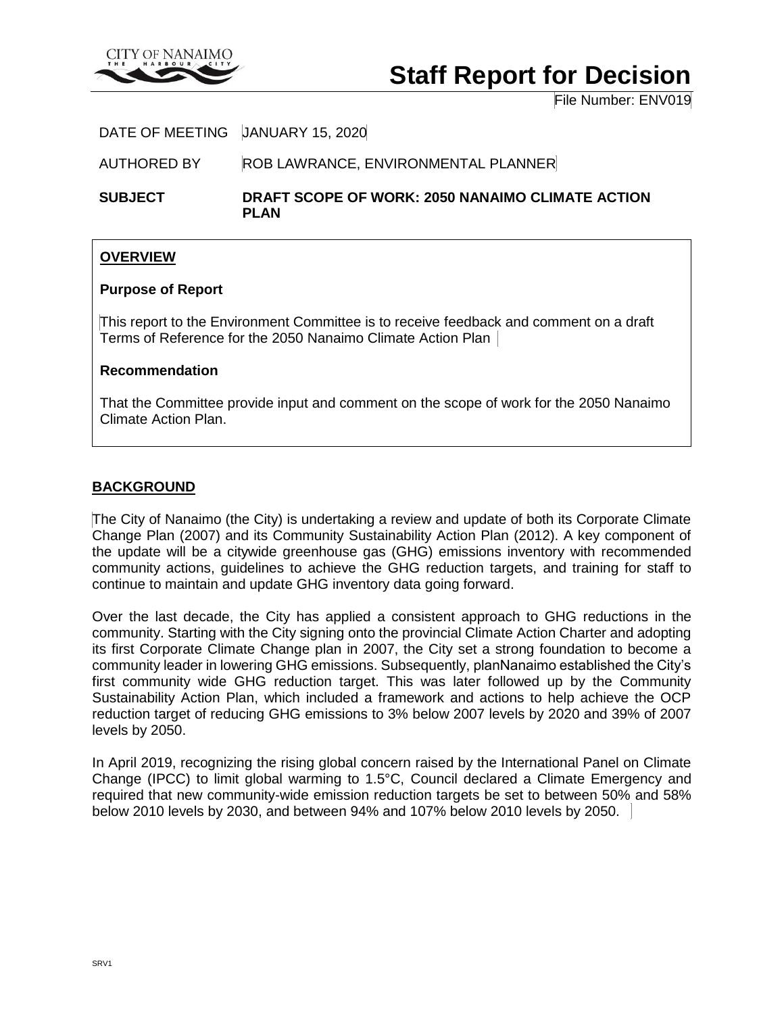

# **Staff Report for Decision**

File Number: ENV019

DATE OF MEETING JANUARY 15, 2020

AUTHORED BY ROB LAWRANCE, ENVIRONMENTAL PLANNER

**SUBJECT DRAFT SCOPE OF WORK: 2050 NANAIMO CLIMATE ACTION PLAN**

## **OVERVIEW**

## **Purpose of Report**

This report to the Environment Committee is to receive feedback and comment on a draft Terms of Reference for the 2050 Nanaimo Climate Action Plan

## **Recommendation**

That the Committee provide input and comment on the scope of work for the 2050 Nanaimo Climate Action Plan.

## **BACKGROUND**

The City of Nanaimo (the City) is undertaking a review and update of both its Corporate Climate Change Plan (2007) and its Community Sustainability Action Plan (2012). A key component of the update will be a citywide greenhouse gas (GHG) emissions inventory with recommended community actions, guidelines to achieve the GHG reduction targets, and training for staff to continue to maintain and update GHG inventory data going forward.

Over the last decade, the City has applied a consistent approach to GHG reductions in the community. Starting with the City signing onto the provincial Climate Action Charter and adopting its first Corporate Climate Change plan in 2007, the City set a strong foundation to become a community leader in lowering GHG emissions. Subsequently, planNanaimo established the City's first community wide GHG reduction target. This was later followed up by the Community Sustainability Action Plan, which included a framework and actions to help achieve the OCP reduction target of reducing GHG emissions to 3% below 2007 levels by 2020 and 39% of 2007 levels by 2050.

In April 2019, recognizing the rising global concern raised by the International Panel on Climate Change (IPCC) to limit global warming to 1.5°C, Council declared a Climate Emergency and required that new community-wide emission reduction targets be set to between 50% and 58% below 2010 levels by 2030, and between 94% and 107% below 2010 levels by 2050.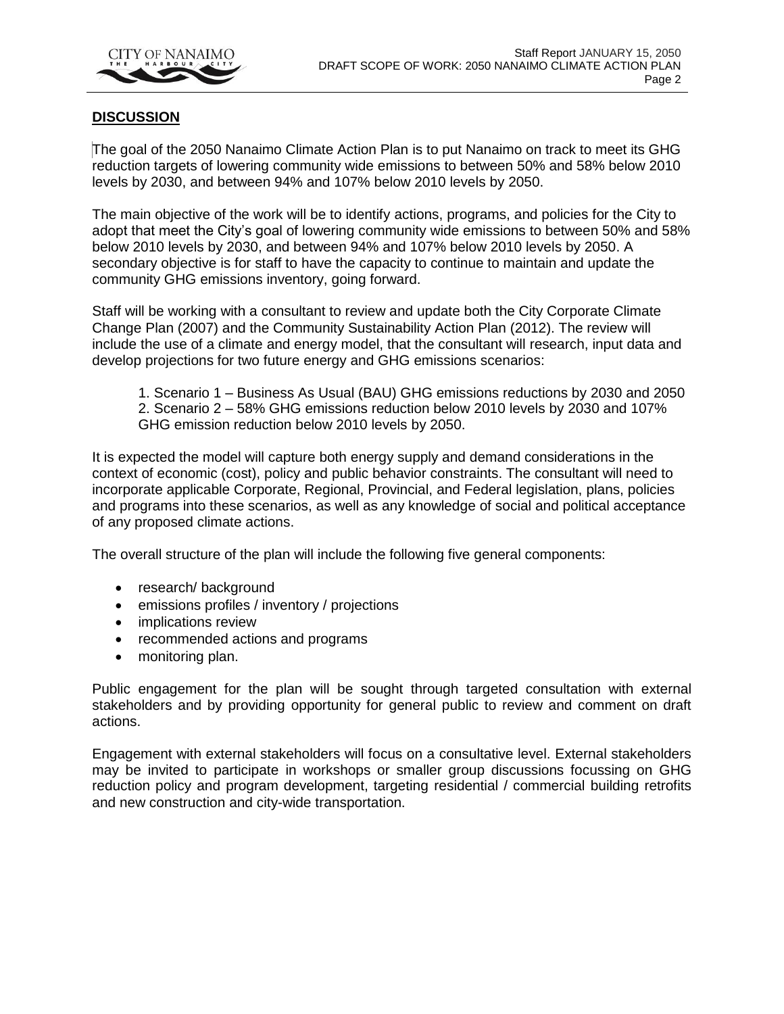

## **DISCUSSION**

The goal of the 2050 Nanaimo Climate Action Plan is to put Nanaimo on track to meet its GHG reduction targets of lowering community wide emissions to between 50% and 58% below 2010 levels by 2030, and between 94% and 107% below 2010 levels by 2050.

The main objective of the work will be to identify actions, programs, and policies for the City to adopt that meet the City's goal of lowering community wide emissions to between 50% and 58% below 2010 levels by 2030, and between 94% and 107% below 2010 levels by 2050. A secondary objective is for staff to have the capacity to continue to maintain and update the community GHG emissions inventory, going forward.

Staff will be working with a consultant to review and update both the City Corporate Climate Change Plan (2007) and the Community Sustainability Action Plan (2012). The review will include the use of a climate and energy model, that the consultant will research, input data and develop projections for two future energy and GHG emissions scenarios:

1. Scenario 1 – Business As Usual (BAU) GHG emissions reductions by 2030 and 2050 2. Scenario 2 – 58% GHG emissions reduction below 2010 levels by 2030 and 107% GHG emission reduction below 2010 levels by 2050.

It is expected the model will capture both energy supply and demand considerations in the context of economic (cost), policy and public behavior constraints. The consultant will need to incorporate applicable Corporate, Regional, Provincial, and Federal legislation, plans, policies and programs into these scenarios, as well as any knowledge of social and political acceptance of any proposed climate actions.

The overall structure of the plan will include the following five general components:

- research/ background
- emissions profiles / inventory / projections
- implications review
- recommended actions and programs
- monitoring plan.

Public engagement for the plan will be sought through targeted consultation with external stakeholders and by providing opportunity for general public to review and comment on draft actions.

Engagement with external stakeholders will focus on a consultative level. External stakeholders may be invited to participate in workshops or smaller group discussions focussing on GHG reduction policy and program development, targeting residential / commercial building retrofits and new construction and city-wide transportation.